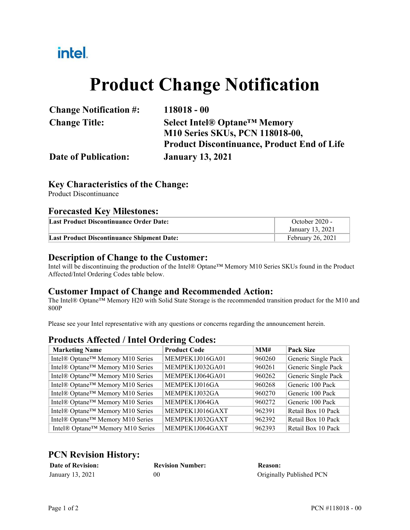## intel.

# **Product Change Notification**

| <b>Change Notification #:</b> | $118018 - 00$                                      |
|-------------------------------|----------------------------------------------------|
| <b>Change Title:</b>          | Select Intel® Optane <sup>™</sup> Memory           |
|                               | <b>M10 Series SKUs, PCN 118018-00,</b>             |
|                               | <b>Product Discontinuance, Product End of Life</b> |
| <b>Date of Publication:</b>   | <b>January 13, 2021</b>                            |

#### **Key Characteristics of the Change:**

Product Discontinuance

#### **Forecasted Key Milestones:**

| Last Product Discontinuance Order Date:           | October 2020 -<br>January 13, 2021 |
|---------------------------------------------------|------------------------------------|
| <b>Last Product Discontinuance Shipment Date:</b> | <b>February 26, 2021</b>           |

#### **Description of Change to the Customer:**

Intel will be discontinuing the production of the Intel® Optane™ Memory M10 Series SKUs found in the Product Affected/Intel Ordering Codes table below.

#### **Customer Impact of Change and Recommended Action:**

The Intel® Optane<sup>™</sup> Memory H20 with Solid State Storage is the recommended transition product for the M10 and 800P

Please see your Intel representative with any questions or concerns regarding the announcement herein.

#### **Products Affected / Intel Ordering Codes:**

| <b>Marketing Name</b>            | <b>Product Code</b> | MM#    | <b>Pack Size</b>    |
|----------------------------------|---------------------|--------|---------------------|
| Intel® Optane™ Memory M10 Series | MEMPEK1J016GA01     | 960260 | Generic Single Pack |
| Intel® Optane™ Memory M10 Series | MEMPEK1J032GA01     | 960261 | Generic Single Pack |
| Intel® Optane™ Memory M10 Series | MEMPEK1J064GA01     | 960262 | Generic Single Pack |
| Intel® Optane™ Memory M10 Series | MEMPEK1J016GA       | 960268 | Generic 100 Pack    |
| Intel® Optane™ Memory M10 Series | MEMPEK1J032GA       | 960270 | Generic 100 Pack    |
| Intel® Optane™ Memory M10 Series | MEMPEK1J064GA       | 960272 | Generic 100 Pack    |
| Intel® Optane™ Memory M10 Series | MEMPEK1J016GAXT     | 962391 | Retail Box 10 Pack  |
| Intel® Optane™ Memory M10 Series | MEMPEK1J032GAXT     | 962392 | Retail Box 10 Pack  |
| Intel® Optane™ Memory M10 Series | MEMPEK1J064GAXT     | 962393 | Retail Box 10 Pack  |

#### **PCN Revision History:**

| <b>Date of Revision:</b> | <b>Revision Number:</b> | <b>Reason:</b>           |
|--------------------------|-------------------------|--------------------------|
| January 13, 2021         | 00                      | Originally Published PCN |